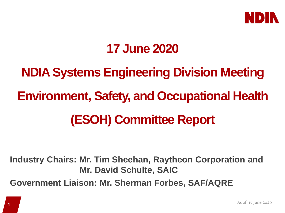

## **17 June 2020**

# **NDIA Systems Engineering Division Meeting Environment, Safety, and Occupational Health (ESOH) Committee Report**

**Industry Chairs: Mr. Tim Sheehan, Raytheon Corporation and Mr. David Schulte, SAIC Government Liaison: Mr. Sherman Forbes, SAF/AQRE**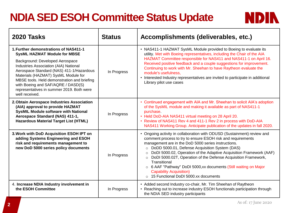#### **NDIA SED ESOH Committee Status Update**

| <b>2020 Tasks</b>                                                                                                                                                                                                                                                                                                                                                                               | <b>Status</b> | Accomplishments (deliverables, etc.)                                                                                                                                                                                                                                                                                                                                                                                                                                                                                                                                   |
|-------------------------------------------------------------------------------------------------------------------------------------------------------------------------------------------------------------------------------------------------------------------------------------------------------------------------------------------------------------------------------------------------|---------------|------------------------------------------------------------------------------------------------------------------------------------------------------------------------------------------------------------------------------------------------------------------------------------------------------------------------------------------------------------------------------------------------------------------------------------------------------------------------------------------------------------------------------------------------------------------------|
| 1. Further demonstrations of NAS411-1<br><b>SysML HAZMAT Module for MBSE</b><br>Background: Developed Aerospace<br>Industries Association (AIA) National<br>Aerospace Standard (NAS) 411-1/Hazardous<br>Materials (HAZMAT) SysML Module for<br>MBSE tools. Held demonstration and briefing<br>with Boeing and SAF/AQRE / DASD(S)<br>representatives in summer 2019. Both were<br>well received. | In Progress   | • NAS411-1 HAZMAT SysML Module provided to Boeing to evaluate its<br>utility. Met with Boeing representatives, including the Chair of the AIA<br>HAZMAT Committee responsible for NAS411 and NAS411-1 on April 16.<br>Received positive feedback and a couple suggestions for improvement.<br>Continuing to work with Mr. Sheehan to have Raytheon evaluate the<br>module's usefulness,<br>• Interested Industry representatives are invited to participate in additional<br>Library pilot use cases                                                                   |
| 2. Obtain Aerospace Industries Association<br>(AIA) approval to provide HAZMAT<br><b>SysMIL Module software with National</b><br>Aerospace Standard (NAS) 411-1,<br><b>Hazardous Material Target List (HTML)</b>                                                                                                                                                                                | In Progress   | • Continued engagement with AIA and Mr. Sheehan to solicit AIA's adoption<br>of the SysMIL module and making it available as part of NAS411-1<br>purchase<br>• Held DoD-AIA NAS411 virtual meeting on 28 April 20.<br>• Review of NAS411 Rev 4 and 411-1 Rev 2 in process with DoD-AIA<br>NAS411 Working Group. Anticipate publication of the updates in fall 2020.                                                                                                                                                                                                    |
| 3. Work with DoD Acquisition ESOH IPT on<br>adding Systems Engineering and ESOH<br>risk and requirements management to<br>new DoD 5000 series policy documents                                                                                                                                                                                                                                  | In Progress   | • Ongoing activity in collaboration with ODUSD (Sustainment) review and<br>comment process to try to ensure ESOH risk and requirements<br>management are in the DoD 5000 series instructions.<br>O DoDD 5000.01, Defense Acquisition System (DAS)<br>DoDI 5000.02, Operation of the Adaptive Acquisition Framework (AAF)<br>DoDI 5000.02T, Operation of the Defense Acquisition Framework,<br>$\circ$<br>Transitional<br>o 6 AAF "Pathway" DoDI 5000, xx documents (Still waiting on Major<br><b>Capability Acquisition)</b><br>○ 15 Functional DoDI 5000.xx documents |
| 4. Increase NDIA Industry involvement in<br>the ESOH Committee                                                                                                                                                                                                                                                                                                                                  | In Progress   | • Added second Industry co-chair, Mr. Tim Sheehan of Raytheon<br>• Reaching out to increase industry ESOH functionals participation through<br>the NDIA SED industry participants                                                                                                                                                                                                                                                                                                                                                                                      |

**NDIN**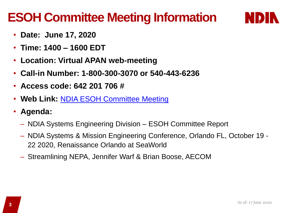### **ESOH Committee Meeting Information**



- **Date: June 17, 2020**
- **Time: 1400 – 1600 EDT**
- **Location: Virtual APAN web-meeting**
- **Call-in Number: 1-800-300-3070 or 540-443-6236**
- **Access code: 642 201 706 #**
- **Web Link:** [NDIA ESOH Committee Meeting](https://connect.apan.org/ndia2020esohcommittee/?launcher=false)
- **Agenda:** 
	- NDIA Systems Engineering Division ESOH Committee Report
	- NDIA Systems & Mission Engineering Conference, Orlando FL, October 19 22 2020, Renaissance Orlando at SeaWorld
	- Streamlining NEPA, Jennifer Warf & Brian Boose, AECOM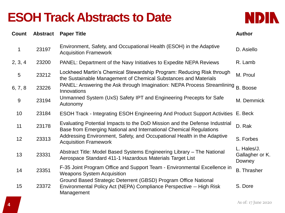### **ESOH Track Abstracts to Date**



| Count        | <b>Abstract</b> | <b>Paper Title</b>                                                                                                                                   | <b>Author</b>                            |
|--------------|-----------------|------------------------------------------------------------------------------------------------------------------------------------------------------|------------------------------------------|
| $\mathbf{1}$ | 23197           | Environment, Safety, and Occupational Health (ESOH) in the Adaptive<br><b>Acquisition Framework</b>                                                  | D. Asiello                               |
| 2, 3, 4      | 23200           | PANEL: Department of the Navy Initiatives to Expedite NEPA Reviews                                                                                   | R. Lamb                                  |
| 5            | 23212           | Lockheed Martin's Chemical Stewardship Program: Reducing Risk through<br>the Sustainable Management of Chemical Substances and Materials             | M. Proul                                 |
| 6, 7, 8      | 23226           | PANEL: Answering the Ask through Imagination: NEPA Process Streamlining<br>Innovations                                                               | B. Boose                                 |
| $9$          | 23194           | Unmanned System (UxS) Safety IPT and Engineering Precepts for Safe<br>Autonomy                                                                       | M. Demmick                               |
| 10           | 23184           | <b>ESOH Track - Integrating ESOH Engineering And Product Support Activities</b>                                                                      | E. Beck                                  |
| 11           | 23178           | Evaluating Potential Impacts to the DoD Mission and the Defense Industrial<br>Base from Emerging National and International Chemical Regulations     | D. Rak                                   |
| 12           | 23313           | Addressing Environment, Safety, and Occupational Health in the Adaptive<br><b>Acquisition Framework</b>                                              | S. Forbes                                |
| 13           | 23331           | Abstract Title: Model Based Systems Engineering Library – The National<br>Aerospace Standard 411-1 Hazardous Materials Target List                   | L. Hales/J.<br>Gallagher or K.<br>Downey |
| 14           | 23351           | F-35 Joint Program Office and Support Team - Environmental Excellence in<br><b>Weapons System Acquisition</b>                                        | <b>B.</b> Thrasher                       |
| 15           | 23372           | Ground Based Strategic Deterrent (GBSD) Program Office National<br>Environmental Policy Act (NEPA) Compliance Perspective -- High Risk<br>Management | S. Dore                                  |